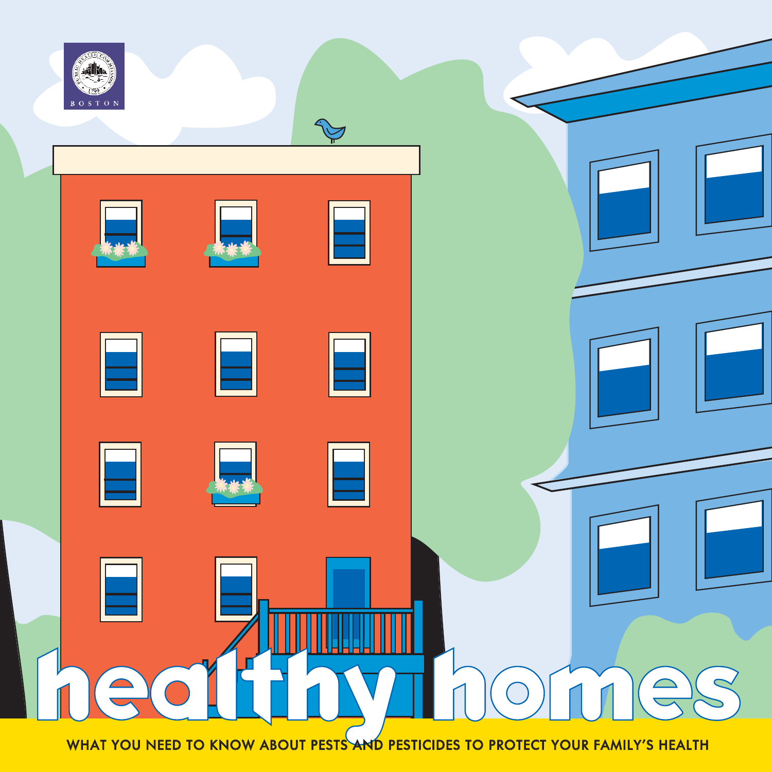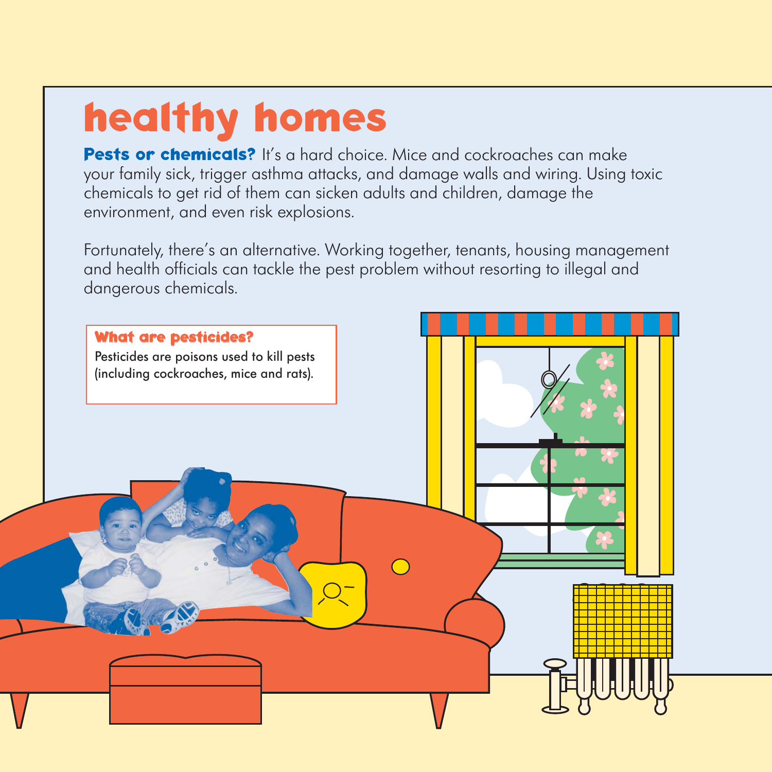# **healthy homes**

**Pests or chemicals?** It's a hard choice. Mice and cockroaches can make your family sick, trigger asthma attacks, and damage walls and wiring. Using toxic chemicals to get rid of them can sicken adults and children, damage the environment, and even risk explosions.

Fortunately, there's an alternative. Working together, tenants, housing management and health officials can tackle the pest problem without resorting to illegal and dangerous chemicals.

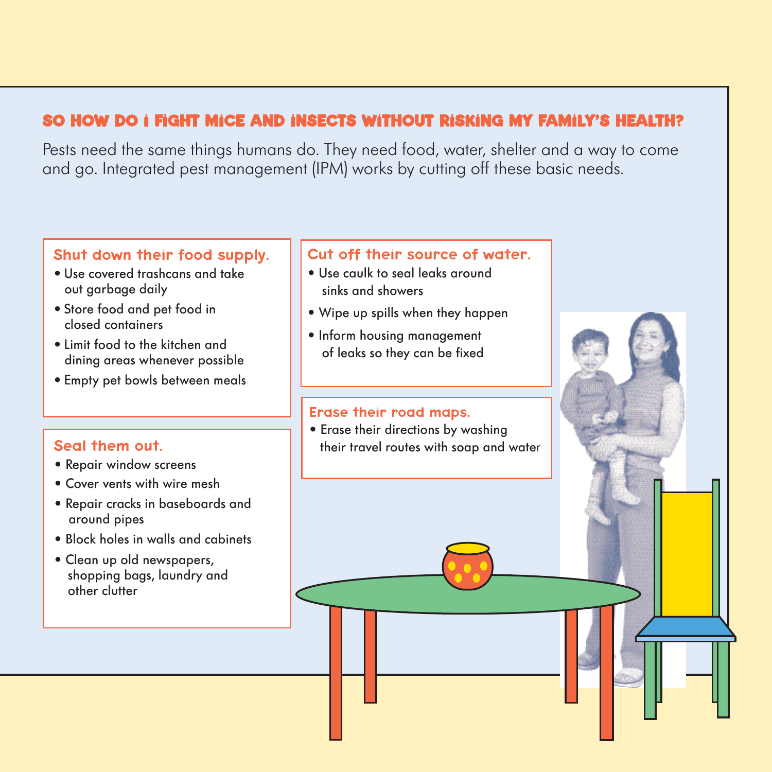### **SO HOW DO I FIGHT MICE AND INSECTS WITHOUT RISKING MY FAMILY'S HEALTH?**

Pests need the same things humans do. They need food, water, shelter and a way to come and go. Integrated pest management (IPM) works by cutting off these basic needs.

### Shut down their food supply.

- Use covered trashcans and take out garbage daily
- Store food and pet food in closed containers
- Limit food to the kitchen and dining areas whenever possible
- Empty pet bowls between meals

### Seal them out.

- Repair window screens
- Cover vents with wire mesh
- Repair cracks in baseboards and around pipes
- Block holes in walls and cabinets
- Clean up old newspapers, shopping bags, laundry and other clutter

### Cut off their source of water.

- Use caulk to seal leaks around sinks and showers
- Wipe up spills when they happen
- Inform housing management of leaks so they can be fixed

#### Erase their road maps.

• Erase their directions by washing their travel routes with soap and water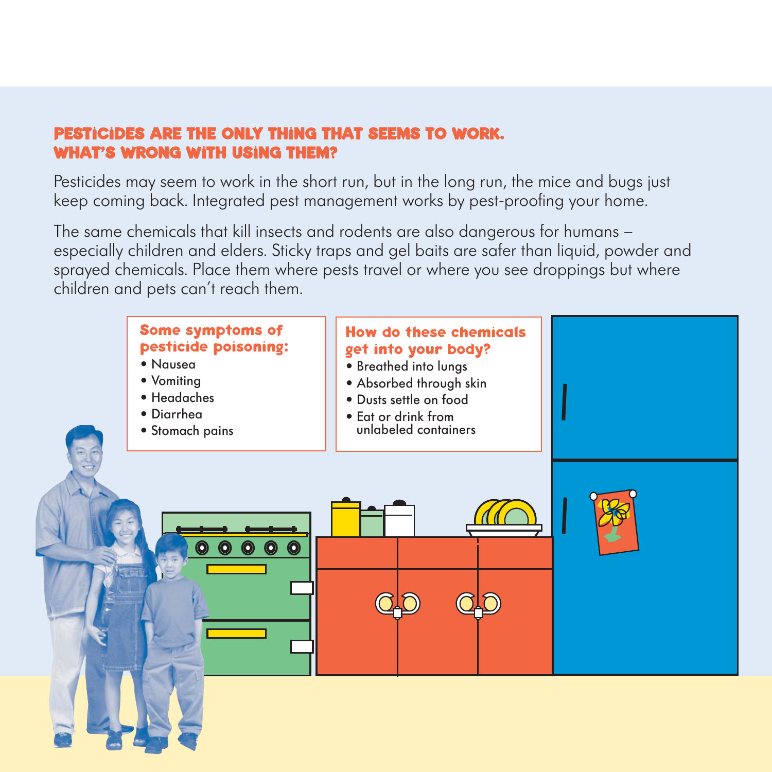### **PESTICIDES ARE THE ONLY THING THAT SEEMS TO WORK. WHAT'S WRONG WITH USING THEM?**

Pesticides may seem to work in the short run, but in the long run, the mice and bugs just keep coming back. Integrated pest management works by pest-proofing your home.

The same chemicals that kill insects and rodents are also dangerous for humans – especially children and elders. Sticky traps and gel baits are safer than liquid, powder and sprayed chemicals. Place them where pests travel or where you see droppings but where children and pets can't reach them.

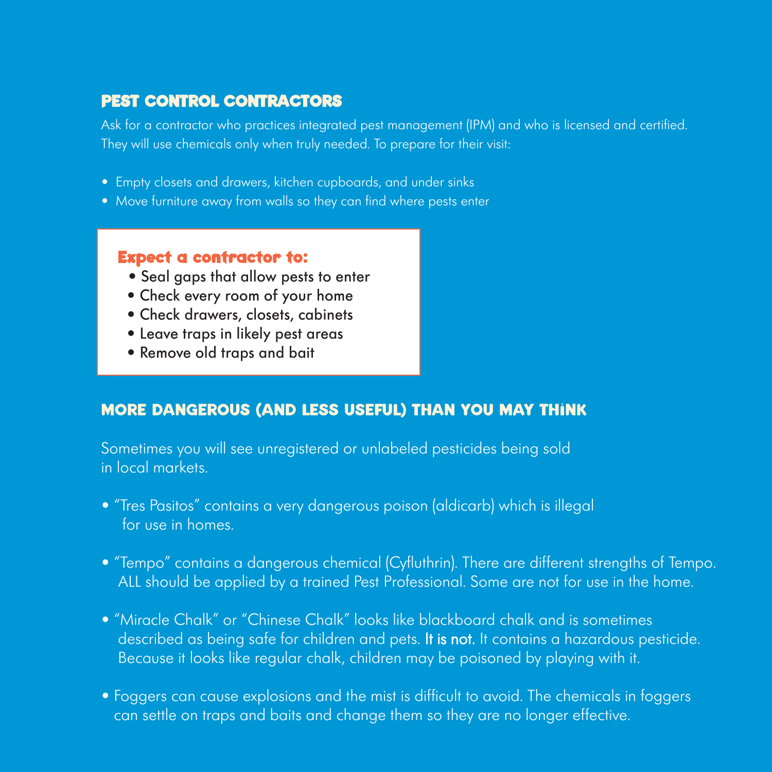### **PEST CONTROL CONTRACTORS**

Ask for a contractor who practices integrated pest management (IPM) and who is licensed and certified. They will use chemicals only when truly needed. To prepare for their visit:

- Empty closets and drawers, kitchen cupboards, and under sinks
- Move furniture away from walls so they can find where pests enter

### **Expect a contractor to:**

- Seal gaps that allow pests to enter
- Check every room of your home
- Check drawers, closets, cabinets
- Leave traps in likely pest areas
- Remove old traps and bait

### **MORE DANGEROUS (AND LESS USEFUL) THAN YOU MAY THINK**

Sometimes you will see unregistered or unlabeled pesticides being sold in local markets.

- "Tres Pasitos" contains a very dangerous poison (aldicarb) which is illegal for use in homes.
- "Tempo" contains a dangerous chemical (Cyfluthrin). There are different strengths of Tempo. ALL should be applied by a trained Pest Professional. Some are not for use in the home.
- "Miracle Chalk" or "Chinese Chalk" looks like blackboard chalk and is sometimes described as being safe for children and pets. It is not. It contains a hazardous pesticide. Because it looks like regular chalk, children may be poisoned by playing with it.
- Foggers can cause explosions and the mist is difficult to avoid. The chemicals in foggers can settle on traps and baits and change them so they are no longer effective.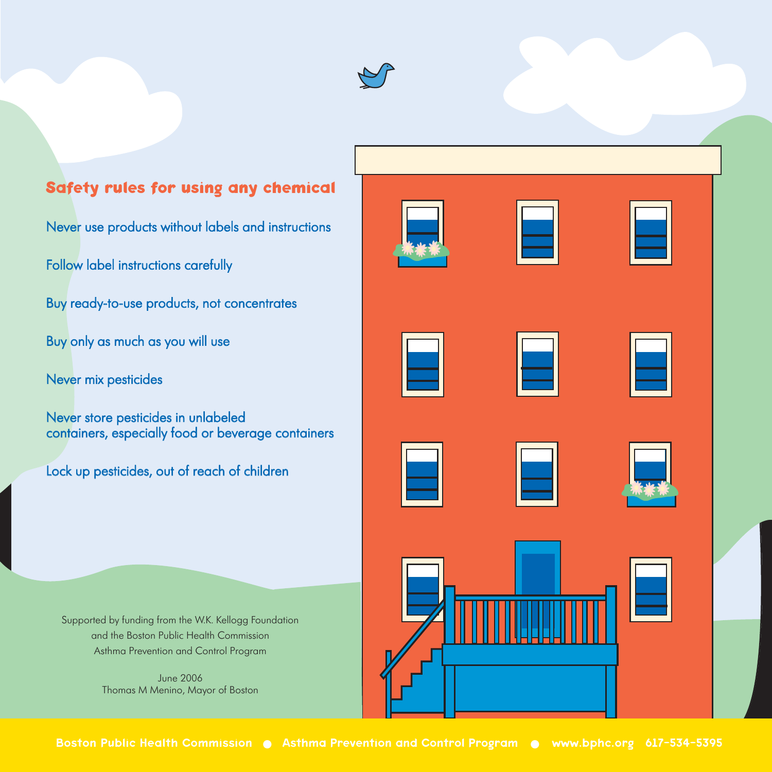

### **Safety rules for using any chemical**

Never use products without labels and instructions

Follow label instructions carefully

Buy ready-to-use products, not concentrates

Buy only as much as you will use

Never mix pesticides

Never store pesticides in unlabeled containers, especially food or beverage containers

Lock up pesticides, out of reach of children

Supported by funding from the W.K. Kellogg Foundation and the Boston Public Health Commission Asthma Prevention and Control Program

> June 2006 Thomas M Menino, Mayor of Boston







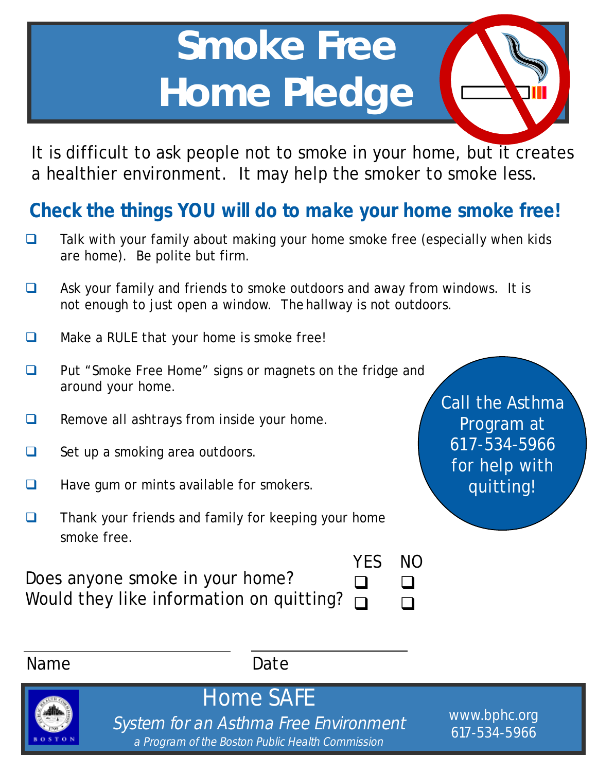# **Smoke Free Home Pledge**

It is difficult to ask people not to smoke in your home, but it creates a healthier environment. It may help the smoker to smoke less.

### **Check the things YOU will do to make your home smoke free!**

- $\Box$  Talk with your family about making your home smoke free (especially when kids are home). Be polite but firm.
- $\Box$  Ask your family and friends to smoke outdoors and away from windows. It is not enough to just open a window. The hallway is not outdoors.
- $\Box$  Make a RULE that your home is smoke free!
- □ Put "Smoke Free Home" signs or magnets on the fridge and around your home.
- $\Box$  Remove all ashtrays from inside your home.
- $\Box$  Set up a smoking area outdoors.
- $\Box$  Have gum or mints available for smokers.
- $\Box$  Thank your friends and family for keeping your home smoke free.

YES NO

Does anyone smoke in your home? Would they like information on quitting?

| N( |
|----|
| ப  |
|    |



System for an Asthma Free Environment a Program of the Boston Public Health Commission

Home SAFE

www.bphc.org 617-534-5966

Call the Asthma Program at 617-534-5966 for help with quitting!

Name Date

 $\Box$  $\Box$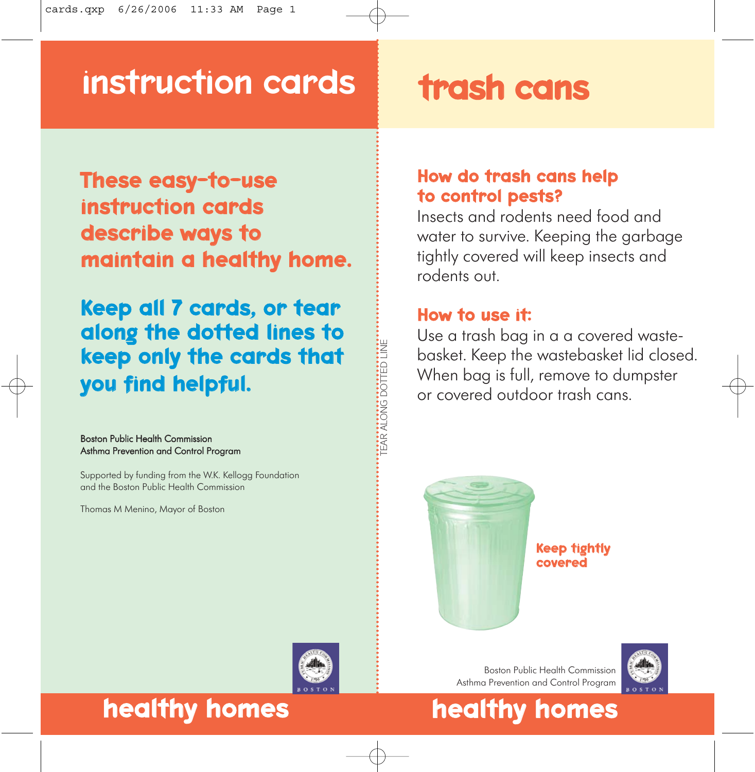### instruction cards trash cans

These easy-to-use instruction cards describe ways to maintain a healthy home.

Keep all 7 cards, or tear along the dotted lines to keep only the cards that you find helpful.

#### Boston Public Health Commission Asthma Prevention and Control Program

Supported by funding from the W.K. Kellogg Foundation and the Boston Public Health Commission

Thomas M Menino, Mayor of Boston

### How do trash cans help to control pests?

Insects and rodents need food and water to survive. Keeping the garbage tightly covered will keep insects and rodents out.

### How to use it:

TEAR ALONG DOTTED LINE

EAR ALONG DOTTED LINE

Use a trash bag in a a covered wastebasket. Keep the wastebasket lid closed. When bag is full, remove to dumpster or covered outdoor trash cans.



Keep tightly covered



### healthy homes healthy homes

Boston Public Health Commission Asthma Prevention and Control Program

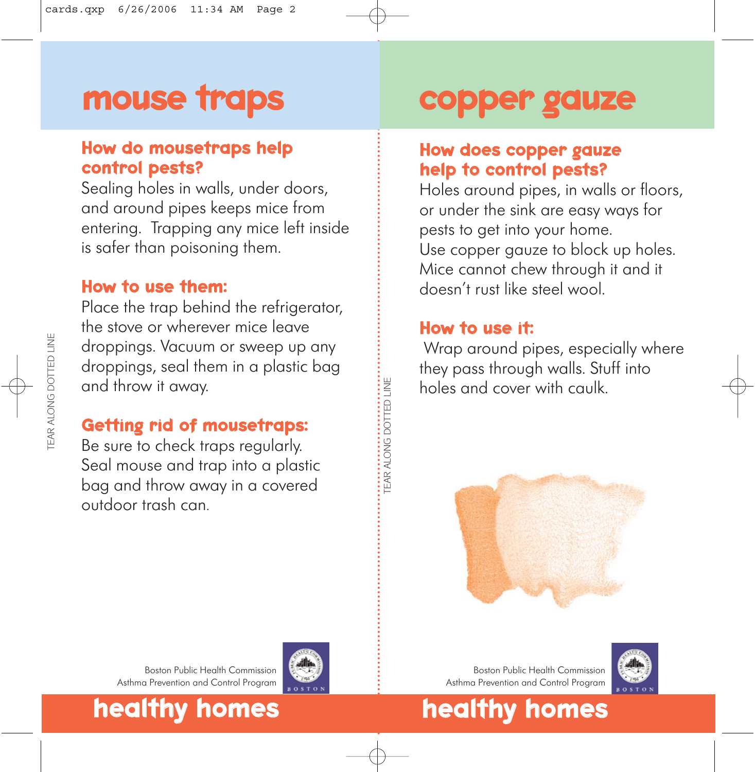## mouse traps

### How do mousetraps help control pests?

Sealing holes in walls, under doors, and around pipes keeps mice from entering. Trapping any mice left inside is safer than poisoning them.

### How to use them:

Place the trap behind the refrigerator, the stove or wherever mice leave droppings. Vacuum or sweep up any droppings, seal them in a plastic bag and throw it away.

### Getting rid of mousetraps:

Be sure to check traps regularly. Seal mouse and trap into a plastic bag and throw away in a covered outdoor trash can.

### copper gauze

### How does copper gauze help to control pests?

Holes around pipes, in walls or floors, or under the sink are easy ways for pests to get into your home. Use copper gauze to block up holes. Mice cannot chew through it and it doesn't rust like steel wool.

### How to use it:

Wrap around pipes, especially where they pass through walls. Stuff into holes and cover with caulk.



Boston Public Health Commission Asthma Prevention and Control Program



Boston Public Health Commission Asthma Prevention and Control Program

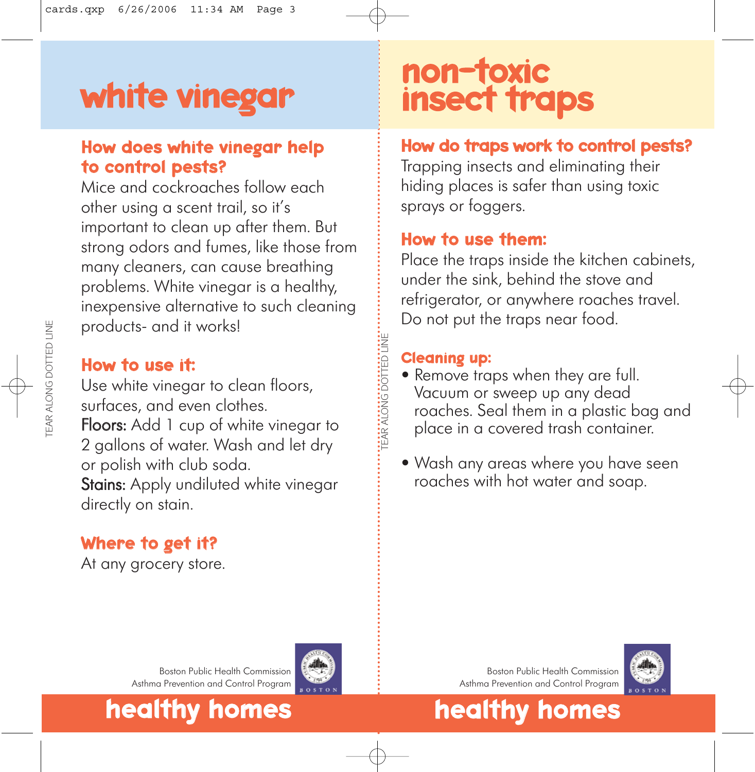## white vinegar

### How does white vinegar help to control pests?

Mice and cockroaches follow each other using a scent trail, so it's important to clean up after them. But strong odors and fumes, like those from many cleaners, can cause breathing problems. White vinegar is a healthy, inexpensive alternative to such cleaning products- and it works!

#### How to use it:

Use white vinegar to clean floors, surfaces, and even clothes. Floors: Add 1 cup of white vinegar to 2 gallons of water. Wash and let dry or polish with club soda. Stains: Apply undiluted white vinegar directly on stain.

### Where to get it?

At any grocery store.

### non-toxic insect traps

### How do traps work to control pests?

Trapping insects and eliminating their hiding places is safer than using toxic sprays or foggers.

#### How to use them:

Place the traps inside the kitchen cabinets, under the sink, behind the stove and refrigerator, or anywhere roaches travel. Do not put the traps near food.

#### Cleaning up:

TEAR ALONG DOTTED LINE

**IEAR ALONG DOTTED LINE** 

- Remove traps when they are full. Vacuum or sweep up any dead roaches. Seal them in a plastic bag and place in a covered trash container.
- Wash any areas where you have seen roaches with hot water and soap.

Boston Public Health Commission Asthma Prevention and Control Program



Boston Public Health Commission Asthma Prevention and Control Program



healthy homes healthy homes